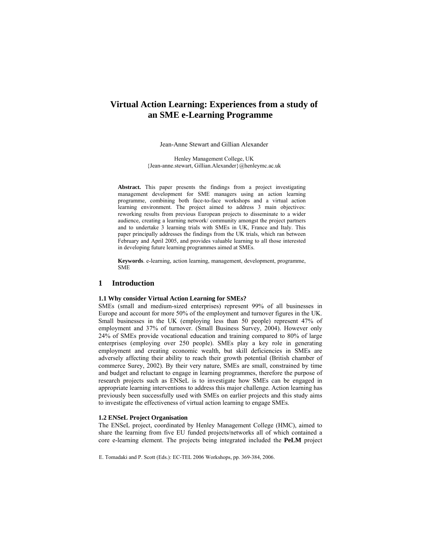# **Virtual Action Learning: Experiences from a study of an SME e-Learning Programme**

Jean-Anne Stewart and Gillian Alexander

Henley Management College, UK {Jean-anne.stewart, Gillian.Alexander}@henleymc.ac.uk

**Abstract.** This paper presents the findings from a project investigating management development for SME managers using an action learning programme, combining both face-to-face workshops and a virtual action learning environment. The project aimed to address 3 main objectives: reworking results from previous European projects to disseminate to a wider audience, creating a learning network/ community amongst the project partners and to undertake 3 learning trials with SMEs in UK, France and Italy. This paper principally addresses the findings from the UK trials, which ran between February and April 2005, and provides valuable learning to all those interested in developing future learning programmes aimed at SMEs.

**Keywords**. e-learning, action learning, management, development, programme, SME

# **1 Introduction**

#### **1.1 Why consider Virtual Action Learning for SMEs?**

SMEs (small and medium-sized enterprises) represent 99% of all businesses in Europe and account for more 50% of the employment and turnover figures in the UK. Small businesses in the UK (employing less than 50 people) represent 47% of employment and 37% of turnover. (Small Business Survey, 2004). However only 24% of SMEs provide vocational education and training compared to 80% of large enterprises (employing over 250 people). SMEs play a key role in generating employment and creating economic wealth, but skill deficiencies in SMEs are adversely affecting their ability to reach their growth potential (British chamber of commerce Surey, 2002). By their very nature, SMEs are small, constrained by time and budget and reluctant to engage in learning programmes, therefore the purpose of research projects such as ENSeL is to investigate how SMEs can be engaged in appropriate learning interventions to address this major challenge. Action learning has previously been successfully used with SMEs on earlier projects and this study aims to investigate the effectiveness of virtual action learning to engage SMEs.

## **1.2 ENSeL Project Organisation**

The ENSeL project, coordinated by Henley Management College (HMC), aimed to share the learning from five EU funded projects/networks all of which contained a core e-learning element. The projects being integrated included the **PeLM** project

E. Tomadaki and P. Scott (Eds.): EC-TEL 2006 Workshops, pp. 369-384, 2006.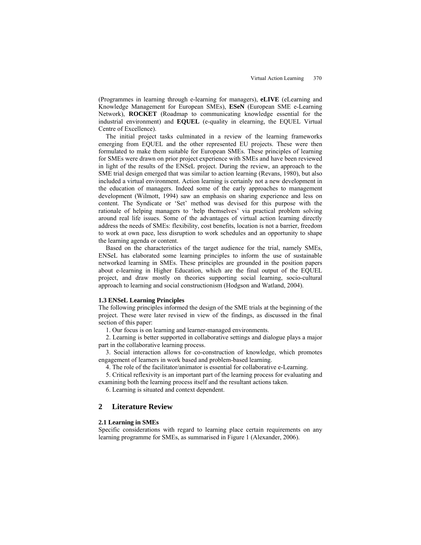(Programmes in learning through e-learning for managers), **eLIVE** (eLearning and Knowledge Management for European SMEs), **ESeN** (European SME e-Learning Network), **ROCKET** (Roadmap to communicating knowledge essential for the industrial environment) and **EQUEL** (e-quality in elearning, the EQUEL Virtual Centre of Excellence).

The initial project tasks culminated in a review of the learning frameworks emerging from EQUEL and the other represented EU projects. These were then formulated to make them suitable for European SMEs. These principles of learning for SMEs were drawn on prior project experience with SMEs and have been reviewed in light of the results of the ENSeL project. During the review, an approach to the SME trial design emerged that was similar to action learning (Revans, 1980), but also included a virtual environment. Action learning is certainly not a new development in the education of managers. Indeed some of the early approaches to management development (Wilmott, 1994) saw an emphasis on sharing experience and less on content. The Syndicate or 'Set' method was devised for this purpose with the rationale of helping managers to 'help themselves' via practical problem solving around real life issues. Some of the advantages of virtual action learning directly address the needs of SMEs: flexibility, cost benefits, location is not a barrier, freedom to work at own pace, less disruption to work schedules and an opportunity to shape the learning agenda or content.

Based on the characteristics of the target audience for the trial, namely SMEs, ENSeL has elaborated some learning principles to inform the use of sustainable networked learning in SMEs. These principles are grounded in the position papers about e-learning in Higher Education, which are the final output of the EQUEL project, and draw mostly on theories supporting social learning, socio-cultural approach to learning and social constructionism (Hodgson and Watland, 2004).

#### **1.3 ENSeL Learning Principles**

The following principles informed the design of the SME trials at the beginning of the project. These were later revised in view of the findings, as discussed in the final section of this paper:

1. Our focus is on learning and learner-managed environments.

2. Learning is better supported in collaborative settings and dialogue plays a major part in the collaborative learning process.

3. Social interaction allows for co-construction of knowledge, which promotes engagement of learners in work based and problem-based learning.

4. The role of the facilitator/animator is essential for collaborative e-Learning.

5. Critical reflexivity is an important part of the learning process for evaluating and examining both the learning process itself and the resultant actions taken.

6. Learning is situated and context dependent.

# **2 Literature Review**

#### **2.1 Learning in SMEs**

Specific considerations with regard to learning place certain requirements on any learning programme for SMEs, as summarised in Figure 1 (Alexander, 2006).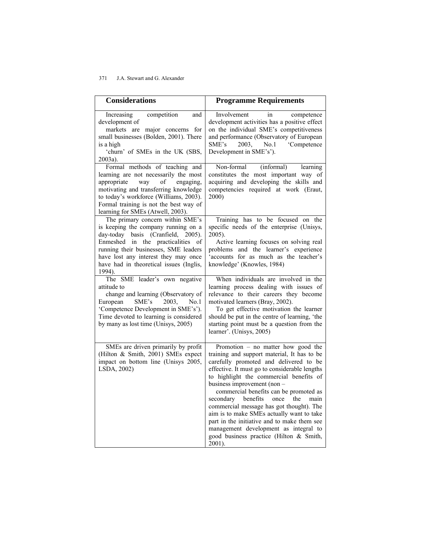| <b>Considerations</b>                                                                                                                                                                                                                                                                       | <b>Programme Requirements</b>                                                                                                                                                                                                                                                                                                                                                                                                                                                                                                                                                   |
|---------------------------------------------------------------------------------------------------------------------------------------------------------------------------------------------------------------------------------------------------------------------------------------------|---------------------------------------------------------------------------------------------------------------------------------------------------------------------------------------------------------------------------------------------------------------------------------------------------------------------------------------------------------------------------------------------------------------------------------------------------------------------------------------------------------------------------------------------------------------------------------|
| Increasing<br>competition<br>and<br>development of<br>markets are<br>major concerns for<br>small businesses (Bolden, 2001). There<br>is a high<br>'churn' of SMEs in the UK (SBS,<br>2003a).                                                                                                | Involvement<br>competence<br>in<br>development activities has a positive effect<br>on the individual SME's competitiveness<br>and performance (Observatory of European<br>SME's<br>2003.<br>No.1<br>'Competence<br>Development in SME's').                                                                                                                                                                                                                                                                                                                                      |
| Formal methods of teaching and<br>learning are not necessarily the most<br>appropriate<br>way<br>engaging,<br>οf<br>motivating and transferring knowledge<br>to today's workforce (Williams, 2003).<br>Formal training is not the best way of<br>learning for SMEs (Atwell, 2003).          | Non-formal<br>(informal)<br>learning<br>constitutes the most important way of<br>acquiring and developing the skills and<br>competencies required at work (Eraut,<br>2000)                                                                                                                                                                                                                                                                                                                                                                                                      |
| The primary concern within SME's<br>is keeping the company running on a<br>day-today basis (Cranfield, 2005).<br>Enmeshed in the practicalities<br>of<br>running their businesses, SME leaders<br>have lost any interest they may once<br>have had in theoretical issues (Inglis,<br>1994). | Training has to be focused on the<br>specific needs of the enterprise (Unisys,<br>2005).<br>Active learning focuses on solving real<br>problems and the learner's experience<br>'accounts for as much as the teacher's<br>knowledge' (Knowles, 1984)                                                                                                                                                                                                                                                                                                                            |
| The SME leader's own negative<br>attitude to<br>change and learning (Observatory of<br>2003.<br>European<br>SME's<br>No.1<br>'Competence Development in SME's').<br>Time devoted to learning is considered<br>by many as lost time (Unisys, 2005)                                           | When individuals are involved in the<br>learning process dealing with issues of<br>relevance to their careers they become<br>motivated learners (Bray, 2002).<br>To get effective motivation the learner<br>should be put in the centre of learning, 'the<br>starting point must be a question from the<br>learner'. (Unisys, 2005)                                                                                                                                                                                                                                             |
| SMEs are driven primarily by profit<br>(Hilton & Smith, 2001) SMEs expect<br>impact on bottom line (Unisys 2005,<br>LSDA, 2002)                                                                                                                                                             | Promotion $-$ no matter how good the<br>training and support material, It has to be<br>carefully promoted and delivered to be<br>effective. It must go to considerable lengths<br>to highlight the commercial benefits of<br>business improvement (non -<br>commercial benefits can be promoted as<br>secondary benefits once the<br>main<br>commercial message has got thought). The<br>aim is to make SMEs actually want to take<br>part in the initiative and to make them see<br>management development as integral to<br>good business practice (Hilton & Smith,<br>2001). |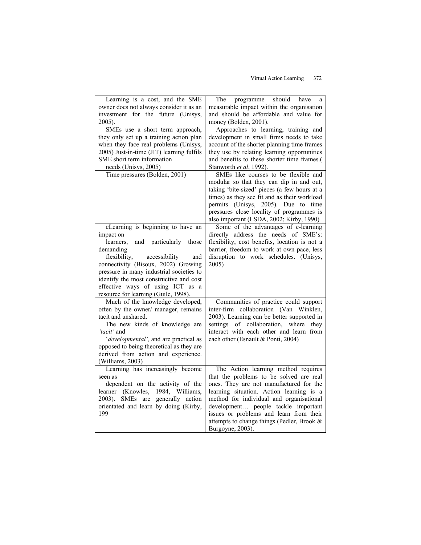| Learning is a cost, and the SME<br>owner does not always consider it as an<br>investment for the future (Unisys,<br>2005).                                                                                                                                                                                                                              | programme<br>should<br>The<br>have<br>a<br>measurable impact within the organisation<br>and should be affordable and value for<br>money (Bolden, 2001).                                                                                                                                                                                                               |
|---------------------------------------------------------------------------------------------------------------------------------------------------------------------------------------------------------------------------------------------------------------------------------------------------------------------------------------------------------|-----------------------------------------------------------------------------------------------------------------------------------------------------------------------------------------------------------------------------------------------------------------------------------------------------------------------------------------------------------------------|
| SMEs use a short term approach,<br>they only set up a training action plan<br>when they face real problems (Unisys,<br>2005) Just-in-time (JIT) learning fulfils<br>SME short term information<br>needs (Unisys, 2005)                                                                                                                                  | Approaches to learning, training and<br>development in small firms needs to take<br>account of the shorter planning time frames<br>they use by relating learning opportunities<br>and benefits to these shorter time frames.(<br>Stanworth et al, 1992).                                                                                                              |
| Time pressures (Bolden, 2001)                                                                                                                                                                                                                                                                                                                           | SMEs like courses to be flexible and<br>modular so that they can dip in and out,<br>taking 'bite-sized' pieces (a few hours at a<br>times) as they see fit and as their workload<br>permits (Unisys, 2005). Due to time<br>pressures close locality of programmes is<br>also important (LSDA, 2002; Kirby, 1990)                                                      |
| eLearning is beginning to have an<br>impact on<br>learners.<br>and particularly<br>those<br>demanding<br>flexibility,<br>accessibility<br>and<br>connectivity (Bisoux, 2002) Growing<br>pressure in many industrial societies to<br>identify the most constructive and cost<br>effective ways of using ICT as a<br>resource for learning (Guile, 1998). | Some of the advantages of e-learning<br>directly address the needs of SME's:<br>flexibility, cost benefits, location is not a<br>barrier, freedom to work at own pace, less<br>disruption to work schedules. (Unisys,<br>2005)                                                                                                                                        |
| Much of the knowledge developed,<br>often by the owner/ manager, remains<br>tacit and unshared.<br>The new kinds of knowledge are<br>'tacit' and<br>'developmental', and are practical as<br>opposed to being theoretical as they are<br>derived from action and experience.<br>(Williams, 2003)                                                        | Communities of practice could support<br>inter-firm collaboration (Van Winklen,<br>2003). Learning can be better supported in<br>settings of collaboration, where<br>they<br>interact with each other and learn from<br>each other (Esnault & Ponti, 2004)                                                                                                            |
| Learning has increasingly become<br>seen as<br>dependent on the activity of the<br>learner (Knowles, 1984, Williams,<br>2003).<br>SMEs are generally action<br>orientated and learn by doing (Kirby,<br>199                                                                                                                                             | The Action learning method requires<br>that the problems to be solved are real<br>ones. They are not manufactured for the<br>learning situation. Action learning is a<br>method for individual and organisational<br>development people tackle important<br>issues or problems and learn from their<br>attempts to change things (Pedler, Brook &<br>Burgoyne, 2003). |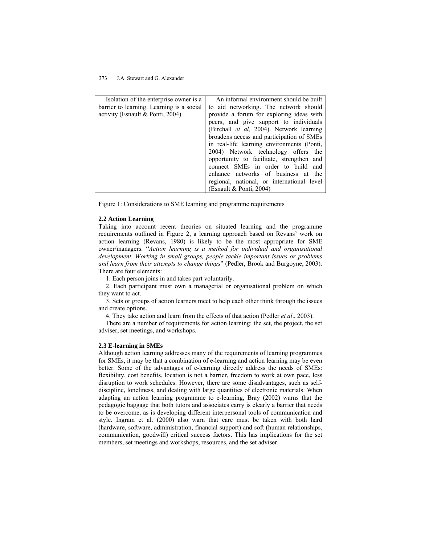| Isolation of the enterprise owner is a<br>barrier to learning. Learning is a social | An informal environment should be built<br>to aid networking. The network should   |
|-------------------------------------------------------------------------------------|------------------------------------------------------------------------------------|
| activity (Esnault & Ponti, 2004)                                                    | provide a forum for exploring ideas with<br>peers, and give support to individuals |
|                                                                                     | (Birchall <i>et al</i> , 2004). Network learning                                   |
|                                                                                     | broadens access and participation of SMEs                                          |
|                                                                                     | in real-life learning environments (Ponti,                                         |
|                                                                                     | 2004) Network technology offers the                                                |
|                                                                                     | opportunity to facilitate, strengthen and                                          |
|                                                                                     | connect SMEs in order to build and                                                 |
|                                                                                     | enhance networks of business at the                                                |
|                                                                                     | regional, national, or international level                                         |
|                                                                                     | (Esnault & Ponti, 2004)                                                            |

Figure 1: Considerations to SME learning and programme requirements

#### **2.2 Action Learning**

Taking into account recent theories on situated learning and the programme requirements outlined in Figure 2, a learning approach based on Revans' work on action learning (Revans, 1980) is likely to be the most appropriate for SME owner/managers. "*Action learning is a method for individual and organisational development. Working in small groups, people tackle important issues or problems and learn from their attempts to change things*" (Pedler, Brook and Burgoyne, 2003). There are four elements:

1. Each person joins in and takes part voluntarily.

2. Each participant must own a managerial or organisational problem on which they want to act.

3. Sets or groups of action learners meet to help each other think through the issues and create options.

4. They take action and learn from the effects of that action (Pedler *et al*., 2003).

There are a number of requirements for action learning: the set, the project, the set adviser, set meetings, and workshops.

#### **2.3 E-learning in SMEs**

Although action learning addresses many of the requirements of learning programmes for SMEs, it may be that a combination of e-learning and action learning may be even better. Some of the advantages of e-learning directly address the needs of SMEs: flexibility, cost benefits, location is not a barrier, freedom to work at own pace, less disruption to work schedules. However, there are some disadvantages, such as selfdiscipline, loneliness, and dealing with large quantities of electronic materials. When adapting an action learning programme to e-learning, Bray (2002) warns that the pedagogic baggage that both tutors and associates carry is clearly a barrier that needs to be overcome, as is developing different interpersonal tools of communication and style. Ingram et al. (2000) also warn that care must be taken with both hard (hardware, software, administration, financial support) and soft (human relationships, communication, goodwill) critical success factors. This has implications for the set members, set meetings and workshops, resources, and the set adviser.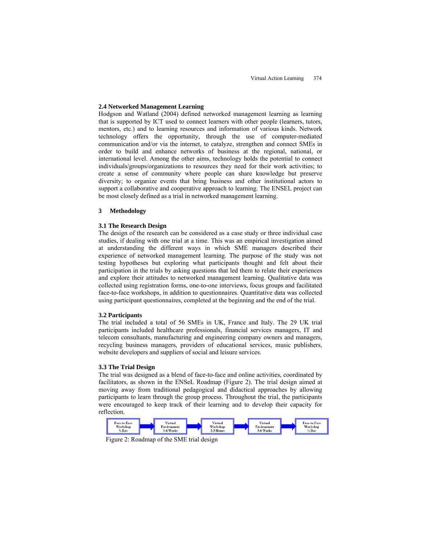## **2.4 Networked Management Learning**

Hodgson and Watland (2004) defined networked management learning as learning that is supported by ICT used to connect learners with other people (learners, tutors, mentors, etc.) and to learning resources and information of various kinds. Network technology offers the opportunity, through the use of computer-mediated communication and/or via the internet, to catalyze, strengthen and connect SMEs in order to build and enhance networks of business at the regional, national, or international level. Among the other aims, technology holds the potential to connect individuals/groups/organizations to resources they need for their work activities; to create a sense of community where people can share knowledge but preserve diversity; to organize events that bring business and other institutional actors to support a collaborative and cooperative approach to learning. The ENSEL project can be most closely defined as a trial in networked management learning.

### **3 Methodology**

# **3.1 The Research Design**

The design of the research can be considered as a case study or three individual case studies, if dealing with one trial at a time. This was an empirical investigation aimed at understanding the different ways in which SME managers described their experience of networked management learning. The purpose of the study was not testing hypotheses but exploring what participants thought and felt about their participation in the trials by asking questions that led them to relate their experiences and explore their attitudes to networked management learning. Qualitative data was collected using registration forms, one-to-one interviews, focus groups and facilitated face-to-face workshops, in addition to questionnaires. Quantitative data was collected using participant questionnaires, completed at the beginning and the end of the trial.

## **3.2 Participants**

The trial included a total of 56 SMEs in UK, France and Italy. The 29 UK trial participants included healthcare professionals, financial services managers, IT and telecom consultants, manufacturing and engineering company owners and managers, recycling business managers, providers of educational services, music publishers, website developers and suppliers of social and leisure services.

# **3.3 The Trial Design**

The trial was designed as a blend of face-to-face and online activities, coordinated by facilitators, as shown in the ENSeL Roadmap (Figure 2). The trial design aimed at moving away from traditional pedagogical and didactical approaches by allowing participants to learn through the group process. Throughout the trial, the participants were encouraged to keep track of their learning and to develop their capacity for reflection.



Figure 2: Roadmap of the SME trial design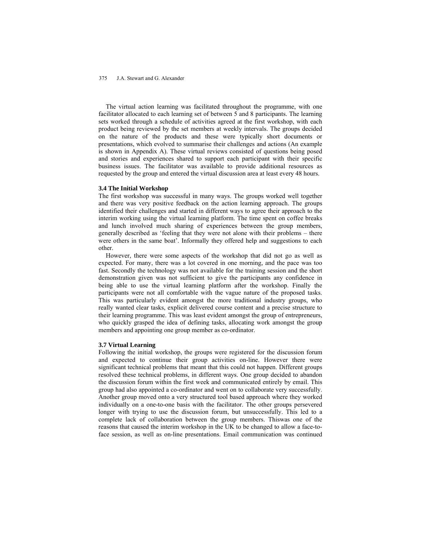The virtual action learning was facilitated throughout the programme, with one facilitator allocated to each learning set of between 5 and 8 participants. The learning sets worked through a schedule of activities agreed at the first workshop, with each product being reviewed by the set members at weekly intervals. The groups decided on the nature of the products and these were typically short documents or presentations, which evolved to summarise their challenges and actions (An example is shown in Appendix A). These virtual reviews consisted of questions being posed and stories and experiences shared to support each participant with their specific business issues. The facilitator was available to provide additional resources as requested by the group and entered the virtual discussion area at least every 48 hours.

#### **3.4 The Initial Workshop**

The first workshop was successful in many ways. The groups worked well together and there was very positive feedback on the action learning approach. The groups identified their challenges and started in different ways to agree their approach to the interim working using the virtual learning platform. The time spent on coffee breaks and lunch involved much sharing of experiences between the group members, generally described as 'feeling that they were not alone with their problems – there were others in the same boat'. Informally they offered help and suggestions to each other.

However, there were some aspects of the workshop that did not go as well as expected. For many, there was a lot covered in one morning, and the pace was too fast. Secondly the technology was not available for the training session and the short demonstration given was not sufficient to give the participants any confidence in being able to use the virtual learning platform after the workshop. Finally the participants were not all comfortable with the vague nature of the proposed tasks. This was particularly evident amongst the more traditional industry groups, who really wanted clear tasks, explicit delivered course content and a precise structure to their learning programme. This was least evident amongst the group of entrepreneurs, who quickly grasped the idea of defining tasks, allocating work amongst the group members and appointing one group member as co-ordinator.

# **3.7 Virtual Learning**

Following the initial workshop, the groups were registered for the discussion forum and expected to continue their group activities on-line. However there were significant technical problems that meant that this could not happen. Different groups resolved these technical problems, in different ways. One group decided to abandon the discussion forum within the first week and communicated entirely by email. This group had also appointed a co-ordinator and went on to collaborate very successfully. Another group moved onto a very structured tool based approach where they worked individually on a one-to-one basis with the facilitator. The other groups persevered longer with trying to use the discussion forum, but unsuccessfully. This led to a complete lack of collaboration between the group members. Thiswas one of the reasons that caused the interim workshop in the UK to be changed to allow a face-toface session, as well as on-line presentations. Email communication was continued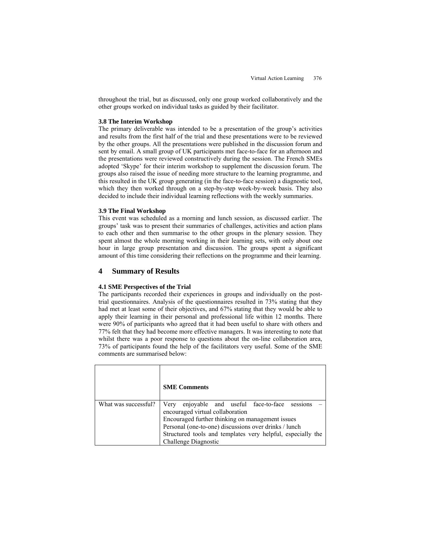throughout the trial, but as discussed, only one group worked collaboratively and the other groups worked on individual tasks as guided by their facilitator.

## **3.8 The Interim Workshop**

The primary deliverable was intended to be a presentation of the group's activities and results from the first half of the trial and these presentations were to be reviewed by the other groups. All the presentations were published in the discussion forum and sent by email. A small group of UK participants met face-to-face for an afternoon and the presentations were reviewed constructively during the session. The French SMEs adopted 'Skype' for their interim workshop to supplement the discussion forum. The groups also raised the issue of needing more structure to the learning programme, and this resulted in the UK group generating (in the face-to-face session) a diagnostic tool, which they then worked through on a step-by-step week-by-week basis. They also decided to include their individual learning reflections with the weekly summaries.

## **3.9 The Final Workshop**

This event was scheduled as a morning and lunch session, as discussed earlier. The groups' task was to present their summaries of challenges, activities and action plans to each other and then summarise to the other groups in the plenary session. They spent almost the whole morning working in their learning sets, with only about one hour in large group presentation and discussion. The groups spent a significant amount of this time considering their reflections on the programme and their learning.

# **4 Summary of Results**

## **4.1 SME Perspectives of the Trial**

The participants recorded their experiences in groups and individually on the posttrial questionnaires. Analysis of the questionnaires resulted in 73% stating that they had met at least some of their objectives, and 67% stating that they would be able to apply their learning in their personal and professional life within 12 months. There were 90% of participants who agreed that it had been useful to share with others and 77% felt that they had become more effective managers. It was interesting to note that whilst there was a poor response to questions about the on-line collaboration area, 73% of participants found the help of the facilitators very useful. Some of the SME comments are summarised below:

|                      | <b>SME Comments</b>                                                                                                                           |
|----------------------|-----------------------------------------------------------------------------------------------------------------------------------------------|
| What was successful? | enjoyable and useful face-to-face<br>Very<br>sessions<br>encouraged virtual collaboration<br>Encouraged further thinking on management issues |
|                      | Personal (one-to-one) discussions over drinks / lunch<br>Structured tools and templates very helpful, especially the<br>Challenge Diagnostic  |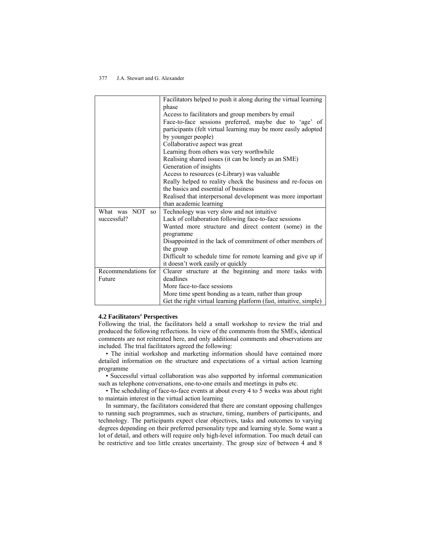|                     | Facilitators helped to push it along during the virtual learning  |  |  |
|---------------------|-------------------------------------------------------------------|--|--|
|                     | phase                                                             |  |  |
|                     | Access to facilitators and group members by email                 |  |  |
|                     | Face-to-face sessions preferred, maybe due to 'age' of            |  |  |
|                     | participants (felt virtual learning may be more easily adopted    |  |  |
|                     | by younger people)                                                |  |  |
|                     | Collaborative aspect was great                                    |  |  |
|                     | Learning from others was very worthwhile                          |  |  |
|                     | Realising shared issues (it can be lonely as an SME)              |  |  |
|                     | Generation of insights                                            |  |  |
|                     | Access to resources (e-Library) was valuable                      |  |  |
|                     | Really helped to reality check the business and re-focus on       |  |  |
|                     | the basics and essential of business                              |  |  |
|                     | Realised that interpersonal development was more important        |  |  |
|                     | than academic learning                                            |  |  |
| What was NOT<br>SO. | Technology was very slow and not intuitive                        |  |  |
| successful?         | Lack of collaboration following face-to-face sessions             |  |  |
|                     | Wanted more structure and direct content (some) in the            |  |  |
|                     | programme                                                         |  |  |
|                     | Disappointed in the lack of commitment of other members of        |  |  |
|                     | the group                                                         |  |  |
|                     | Difficult to schedule time for remote learning and give up if     |  |  |
|                     | it doesn't work easily or quickly                                 |  |  |
| Recommendations for | Clearer structure at the beginning and more tasks with            |  |  |
| Future              | deadlines                                                         |  |  |
|                     | More face-to-face sessions                                        |  |  |
|                     | More time spent bonding as a team, rather than group              |  |  |
|                     | Get the right virtual learning platform (fast, intuitive, simple) |  |  |

#### **4.2 Facilitators' Perspectives**

Following the trial, the facilitators held a small workshop to review the trial and produced the following reflections. In view of the comments from the SMEs, identical comments are not reiterated here, and only additional comments and observations are included. The trial facilitators agreed the following:

• The initial workshop and marketing information should have contained more detailed information on the structure and expectations of a virtual action learning programme

• Successful virtual collaboration was also supported by informal communication such as telephone conversations, one-to-one emails and meetings in pubs etc.

• The scheduling of face-to-face events at about every 4 to 5 weeks was about right to maintain interest in the virtual action learning

In summary, the facilitators considered that there are constant opposing challenges to running such programmes, such as structure, timing, numbers of participants, and technology. The participants expect clear objectives, tasks and outcomes to varying degrees depending on their preferred personality type and learning style. Some want a lot of detail, and others will require only high-level information. Too much detail can be restrictive and too little creates uncertainty. The group size of between 4 and 8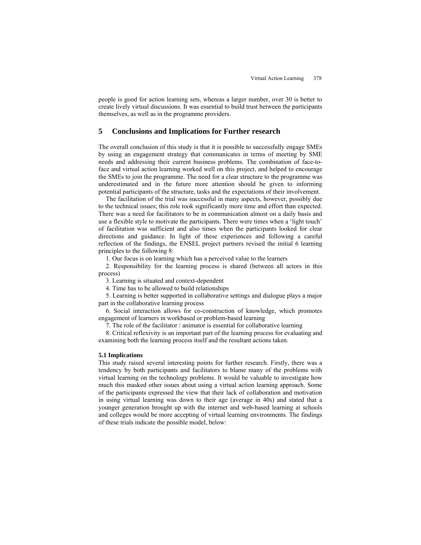people is good for action learning sets, whereas a larger number, over 30 is better to create lively virtual discussions. It was essential to build trust between the participants themselves, as well as in the programme providers.

# **5 Conclusions and Implications for Further research**

The overall conclusion of this study is that it is possible to successfully engage SMEs by using an engagement strategy that communicates in terms of meeting by SME needs and addressing their current business problems. The combination of face-toface and virtual action learning worked well on this project, and helped to encourage the SMEs to join the programme. The need for a clear structure to the programme was underestimated and in the future more attention should be given to informing potential participants of the structure, tasks and the expectations of their involvement.

The facilitation of the trial was successful in many aspects, however, possibly due to the technical issues; this role took significantly more time and effort than expected. There was a need for facilitators to be in communication almost on a daily basis and use a flexible style to motivate the participants. There were times when a 'light touch' of facilitation was sufficient and also times when the participants looked for clear directions and guidance. In light of these experiences and following a careful reflection of the findings, the ENSEL project partners revised the initial 6 learning principles to the following 8:

1. Our focus is on learning which has a perceived value to the learners

2. Responsibility for the learning process is shared (between all actors in this process)

3. Learning is situated and context-dependent

4. Time has to be allowed to build relationships

5. Learning is better supported in collaborative settings and dialogue plays a major part in the collaborative learning process

6. Social interaction allows for co-construction of knowledge, which promotes engagement of learners in workbased or problem-based learning

7. The role of the facilitator / animator is essential for collaborative learning

8. Critical reflexivity is an important part of the learning process for evaluating and examining both the learning process itself and the resultant actions taken.

## **5.1 Implications**

This study raised several interesting points for further research. Firstly, there was a tendency by both participants and facilitators to blame many of the problems with virtual learning on the technology problems. It would be valuable to investigate how much this masked other issues about using a virtual action learning approach. Some of the participants expressed the view that their lack of collaboration and motivation in using virtual learning was down to their age (average in 40s) and stated that a younger generation brought up with the internet and web-based learning at schools and colleges would be more accepting of virtual learning environments. The findings of these trials indicate the possible model, below: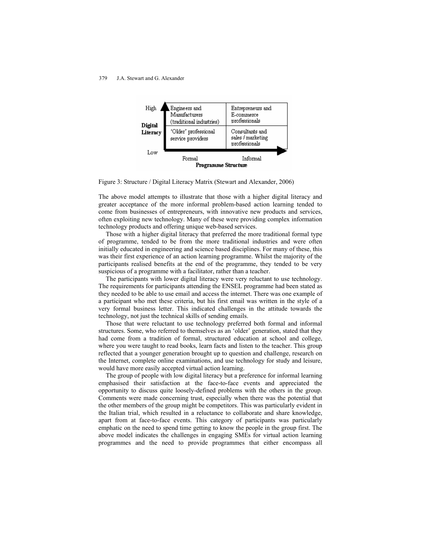

Figure 3: Structure / Digital Literacy Matrix (Stewart and Alexander, 2006)

The above model attempts to illustrate that those with a higher digital literacy and greater acceptance of the more informal problem-based action learning tended to come from businesses of entrepreneurs, with innovative new products and services, often exploiting new technology. Many of these were providing complex information technology products and offering unique web-based services.

Those with a higher digital literacy that preferred the more traditional formal type of programme, tended to be from the more traditional industries and were often initially educated in engineering and science based disciplines. For many of these, this was their first experience of an action learning programme. Whilst the majority of the participants realised benefits at the end of the programme, they tended to be very suspicious of a programme with a facilitator, rather than a teacher.

The participants with lower digital literacy were very reluctant to use technology. The requirements for participants attending the ENSEL programme had been stated as they needed to be able to use email and access the internet. There was one example of a participant who met these criteria, but his first email was written in the style of a very formal business letter. This indicated challenges in the attitude towards the technology, not just the technical skills of sending emails.

Those that were reluctant to use technology preferred both formal and informal structures. Some, who referred to themselves as an 'older' generation, stated that they had come from a tradition of formal, structured education at school and college, where you were taught to read books, learn facts and listen to the teacher. This group reflected that a younger generation brought up to question and challenge, research on the Internet, complete online examinations, and use technology for study and leisure, would have more easily accepted virtual action learning.

The group of people with low digital literacy but a preference for informal learning emphasised their satisfaction at the face-to-face events and appreciated the opportunity to discuss quite loosely-defined problems with the others in the group. Comments were made concerning trust, especially when there was the potential that the other members of the group might be competitors. This was particularly evident in the Italian trial, which resulted in a reluctance to collaborate and share knowledge, apart from at face-to-face events. This category of participants was particularly emphatic on the need to spend time getting to know the people in the group first. The above model indicates the challenges in engaging SMEs for virtual action learning programmes and the need to provide programmes that either encompass all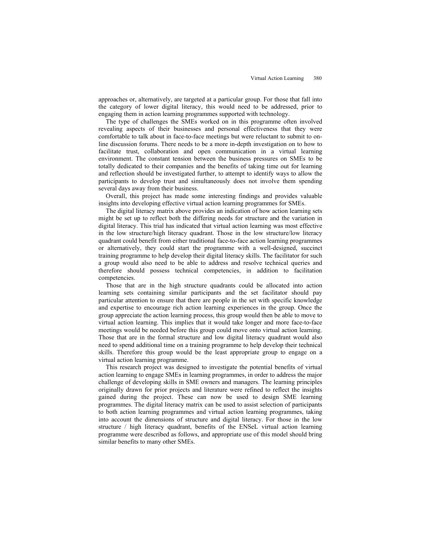approaches or, alternatively, are targeted at a particular group. For those that fall into the category of lower digital literacy, this would need to be addressed, prior to engaging them in action learning programmes supported with technology.

The type of challenges the SMEs worked on in this programme often involved revealing aspects of their businesses and personal effectiveness that they were comfortable to talk about in face-to-face meetings but were reluctant to submit to online discussion forums. There needs to be a more in-depth investigation on to how to facilitate trust, collaboration and open communication in a virtual learning environment. The constant tension between the business pressures on SMEs to be totally dedicated to their companies and the benefits of taking time out for learning and reflection should be investigated further, to attempt to identify ways to allow the participants to develop trust and simultaneously does not involve them spending several days away from their business.

Overall, this project has made some interesting findings and provides valuable insights into developing effective virtual action learning programmes for SMEs.

The digital literacy matrix above provides an indication of how action learning sets might be set up to reflect both the differing needs for structure and the variation in digital literacy. This trial has indicated that virtual action learning was most effective in the low structure/high literacy quadrant. Those in the low structure/low literacy quadrant could benefit from either traditional face-to-face action learning programmes or alternatively, they could start the programme with a well-designed, succinct training programme to help develop their digital literacy skills. The facilitator for such a group would also need to be able to address and resolve technical queries and therefore should possess technical competencies, in addition to facilitation competencies.

Those that are in the high structure quadrants could be allocated into action learning sets containing similar participants and the set facilitator should pay particular attention to ensure that there are people in the set with specific knowledge and expertise to encourage rich action learning experiences in the group. Once the group appreciate the action learning process, this group would then be able to move to virtual action learning. This implies that it would take longer and more face-to-face meetings would be needed before this group could move onto virtual action learning. Those that are in the formal structure and low digital literacy quadrant would also need to spend additional time on a training programme to help develop their technical skills. Therefore this group would be the least appropriate group to engage on a virtual action learning programme.

This research project was designed to investigate the potential benefits of virtual action learning to engage SMEs in learning programmes, in order to address the major challenge of developing skills in SME owners and managers. The learning principles originally drawn for prior projects and literature were refined to reflect the insights gained during the project. These can now be used to design SME learning programmes. The digital literacy matrix can be used to assist selection of participants to both action learning programmes and virtual action learning programmes, taking into account the dimensions of structure and digital literacy. For those in the low structure / high literacy quadrant, benefits of the ENSeL virtual action learning programme were described as follows, and appropriate use of this model should bring similar benefits to many other SMEs.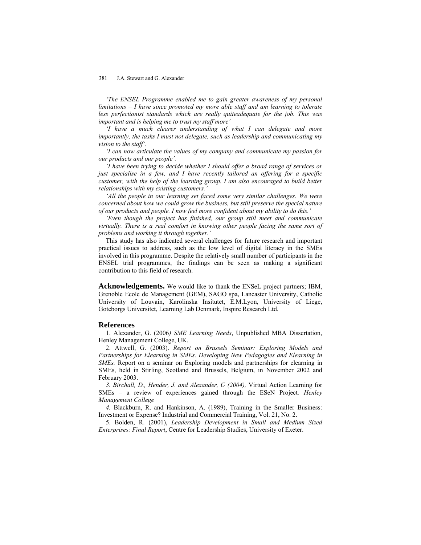*'The ENSEL Programme enabled me to gain greater awareness of my personal limitations – I have since promoted my more able staff and am learning to tolerate less perfectionist standards which are really quiteadequate for the job. This was important and is helping me to trust my staff more'* 

*'I have a much clearer understanding of what I can delegate and more importantly, the tasks I must not delegate, such as leadership and communicating my vision to the staff'.* 

*'I can now articulate the values of my company and communicate my passion for our products and our people'.* 

*'I have been trying to decide whether I should offer a broad range of services or just specialise in a few, and I have recently tailored an offering for a specific customer, with the help of the learning group. I am also encouraged to build better relationships with my existing customers.'* 

*All the people in our learning set faced some very similar challenges. We were concerned about how we could grow the business, but still preserve the special nature of our products and people. I now feel more confident about my ability to do this.'* 

*'Even though the project has finished, our group still meet and communicate virtually. There is a real comfort in knowing other people facing the same sort of problems and working it through together.'* 

This study has also indicated several challenges for future research and important practical issues to address, such as the low level of digital literacy in the SMEs involved in this programme. Despite the relatively small number of participants in the ENSEL trial programmes, the findings can be seen as making a significant contribution to this field of research.

**Acknowledgements.** We would like to thank the ENSeL project partners; IBM, Grenoble Ecole de Management (GEM), SAGO spa, Lancaster University, Catholic University of Louvain, Karolinska Insitutet, E.M.Lyon, University of Liege, Goteborgs Universitet, Learning Lab Denmark, Inspire Research Ltd.

# **References**

1. Alexander, G. (2006*) SME Learning Needs*, Unpublished MBA Dissertation, Henley Management College, UK.

2. Attwell, G. (2003). *Report on Brussels Seminar: Exploring Models and*  Partnerships for Elearning in SMEs. Developing New Pedagogies and Elearning in *SMEs.* Report on a seminar on Exploring models and partnerships for elearning in SMEs, held in Stirling, Scotland and Brussels, Belgium, in November 2002 and February 2003.

*3. Birchall, D., Hender, J. and Alexander, G (2004),* Virtual Action Learning for SMEs – a review of experiences gained through the ESeN Project*. Henley Management College* 

*4.* Blackburn, R. and Hankinson, A. (1989), Training in the Smaller Business: Investment or Expense? Industrial and Commercial Training, Vol. 21, No. 2.

5. Bolden, R. (2001), *Leadership Development in Small and Medium Sized Enterprises: Final Report*, Centre for Leadership Studies, University of Exeter.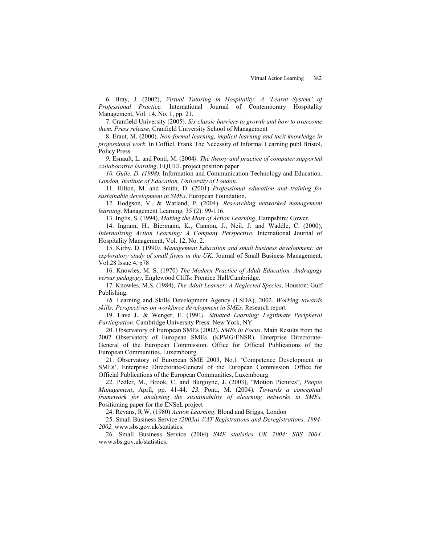6. Bray, J. (2002), *Virtual Tutoring in Hospitality: A 'Learnt System' of Professional Practice.* International Journal of Contemporary Hospitality Management, Vol. 14, No. 1, pp. 21.

7. Cranfield University (2005). *Six classic barriers to growth and how to overcome them. Press release,* Cranfield University School of Management

8. Eraut, M. (2000). *Non-formal learning, implicit learning and tacit knowledge in professional work*. In Coffiel, Frank The Necessity of Informal Learning publ Bristol, Policy Press

*9.* Esnault, L. and Ponti, M. (2004*). The theory and practice of computer supported collaborative learning*. EQUEL project position paper

*10. Guile, D. (1998).* Information and Communication Technology and Education. *London, Institute of Education, University of London.* 

11. Hilton, M. and Smith, D. (2001) *Professional education and training for sustainable development in SMEs*. European Foundation.

12. Hodgson, V., & Watland, P. (2004). *Researching networked management learning*. Management Learning*.* 35 (2): 99-116.

13. Inglis, S. (1994), *Making the Most of Action Learning*, Hampshire: Gower.

14. Ingram, H., Biermann, K., Cannon, J., Neil, J. and Waddle, C. (2000), *Internalizing Action Learning: A Company Perspective*, International Journal of Hospitality Management, Vol. 12, No. 2.

15. Kirby, D. (1990*). Management Education and small business development: an exploratory study of small firms in the UK*. Journal of Small Business Management, Vol.28 Issue 4, p78

16. Knowles, M. S. (1970) *The Modern Practice of Adult Education. Andragogy versus pedagogy*, Englewood Cliffs: Prentice Hall/Cambridge.

17. Knowles, M.S. (1984), *The Adult Learner: A Neglected Species*, Houston: Gulf Publishing.

*18.* Learning and Skills Development Agency (LSDA), 2002. *Working towards skills: Perspectives on workforce development in SMEs.* Research report

19. Lave J., & Wenger, E. (1991*). Situated Learning: Legitimate Peripheral Participation*. Cambridge University Press: New York, NY.

20. Observatory of European SMEs (2002). *SMEs in Focus*. Main Results from the 2002 Observatory of European SMEs. (KPMG/ENSR). Enterprise Directorate-General of the European Commission. Office for Official Publications of the European Communities, Luxembourg.

21. Observatory of European SME 2003, No.1 'Competence Development in SMEs'. Enterprise Directorate-General of the European Commission. Office for Official Publications of the European Communities, Luxembourg

22. Pedler, M., Brook, C. and Burgoyne, J. (2003), "Motion Pictures", *People Management*, April, pp. 41-44. *23.* Ponti, M. (2004). *Towards a conceptual framework for analysing the sustainability of elearning networks in SMEs.*  Positioning paper for the ENSeL project

24. Revans, R.W. (1980) *Action Learning*. Blond and Briggs, London

25. Small Business Service *(2003a) VAT Registrations and Deregistrations, 1994- 2002.* www.sbs.gov.uk/statistics.

26. Small Business Service (2004) *SME statistics UK 2004: SBS 2004.*  www.sbs.gov.uk/statistics.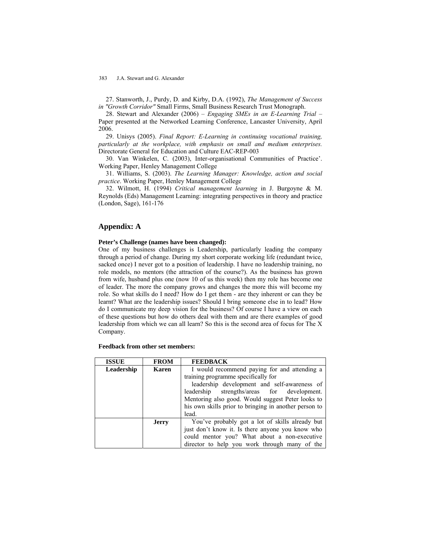27. Stanworth, J., Purdy, D. and Kirby, D.A. (1992), *The Management of Success in "Growth Corridor"* Small Firms, Small Business Research Trust Monograph.

28. Stewart and Alexander (2006) – *Engaging SMEs in an E-Learning Trial –*  Paper presented at the Networked Learning Conference, Lancaster University, April 2006.

29. Unisys (2005). *Final Report: E-Learning in continuing vocational training, particularly at the workplace, with emphasis on small and medium enterprises.*  Directorate General for Education and Culture EAC-REP-003

30. Van Winkelen, C. (2003), Inter-organisational Communities of Practice'. Working Paper, Henley Management College

31. Williams, S. (2003). *The Learning Manager: Knowledge, action and social practice*. Working Paper, Henley Management College

32. Wilmott, H. (1994) *Critical management learning* in J. Burgoyne & M. Reynolds (Eds) Management Learning: integrating perspectives in theory and practice (London, Sage), 161-176

# **Appendix: A**

## **Peter's Challenge (names have been changed):**

One of my business challenges is Leadership, particularly leading the company through a period of change. During my short corporate working life (redundant twice, sacked once) I never got to a position of leadership. I have no leadership training, no role models, no mentors (the attraction of the course?). As the business has grown from wife, husband plus one (now 10 of us this week) then my role has become one of leader. The more the company grows and changes the more this will become my role. So what skills do I need? How do I get them - are they inherent or can they be learnt? What are the leadership issues? Should I bring someone else in to lead? How do I communicate my deep vision for the business? Of course I have a view on each of these questions but how do others deal with them and are there examples of good leadership from which we can all learn? So this is the second area of focus for The X Company.

#### **Feedback from other set members:**

| <b>ISSUE</b> | <b>FROM</b>  | <b>FEEDBACK</b>                                       |
|--------------|--------------|-------------------------------------------------------|
| Leadership   | Karen        | I would recommend paying for and attending a          |
|              |              | training programme specifically for                   |
|              |              | leadership development and self-awareness of          |
|              |              | strengths/areas for development.<br>leadership        |
|              |              | Mentoring also good. Would suggest Peter looks to     |
|              |              | his own skills prior to bringing in another person to |
|              |              | lead.                                                 |
|              | <b>Jerry</b> | You've probably got a lot of skills already but       |
|              |              | just don't know it. Is there anyone you know who      |
|              |              | could mentor you? What about a non-executive          |
|              |              | director to help you work through many of the         |